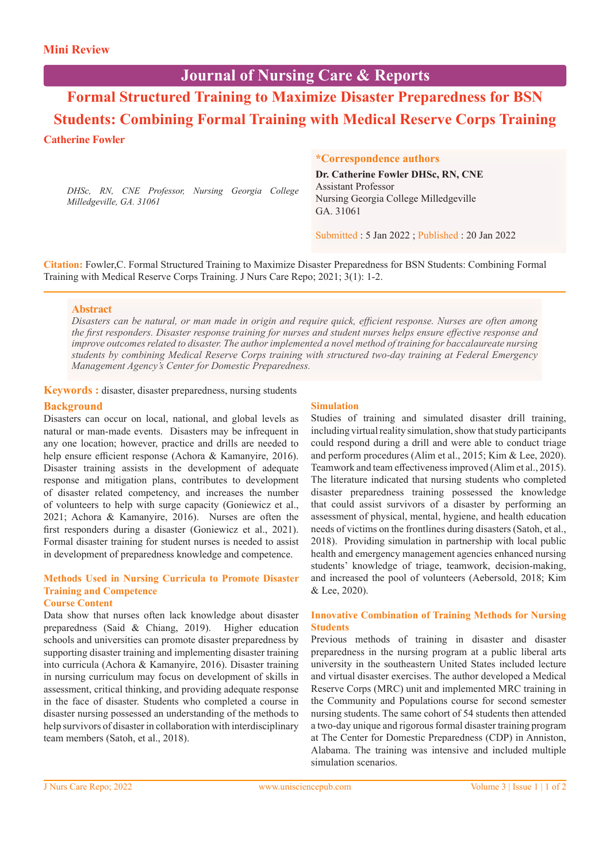# **Journal of Nursing Care & Reports**

**Formal Structured Training to Maximize Disaster Preparedness for BSN Students: Combining Formal Training with Medical Reserve Corps Training Catherine Fowler**

*DHSc, RN, CNE Professor, Nursing Georgia College Milledgeville, GA. 31061*

#### **\*Correspondence authors**

**Dr. Catherine Fowler DHSc, RN, CNE** Assistant Professor Nursing Georgia College Milledgeville GA. 31061

Submitted : 5 Jan 2022 ; Published : 20 Jan 2022

**Citation:** Fowler,C. Formal Structured Training to Maximize Disaster Preparedness for BSN Students: Combining Formal Training with Medical Reserve Corps Training. J Nurs Care Repo; 2021; 3(1): 1-2.

#### **Abstract**

*Disasters can be natural, or man made in origin and require quick, efficient response. Nurses are often among the first responders. Disaster response training for nurses and student nurses helps ensure effective response and improve outcomes related to disaster. The author implemented a novel method of training for baccalaureate nursing students by combining Medical Reserve Corps training with structured two-day training at Federal Emergency Management Agency's Center for Domestic Preparedness.*

**Keywords :** disaster, disaster preparedness, nursing students

## **Background**

Disasters can occur on local, national, and global levels as natural or man-made events. Disasters may be infrequent in any one location; however, practice and drills are needed to help ensure efficient response (Achora & Kamanyire, 2016). Disaster training assists in the development of adequate response and mitigation plans, contributes to development of disaster related competency, and increases the number of volunteers to help with surge capacity (Goniewicz et al., 2021; Achora & Kamanyire, 2016). Nurses are often the first responders during a disaster (Goniewicz et al., 2021). Formal disaster training for student nurses is needed to assist in development of preparedness knowledge and competence.

# **Methods Used in Nursing Curricula to Promote Disaster Training and Competence**

# **Course Content**

Data show that nurses often lack knowledge about disaster preparedness (Said & Chiang, 2019). Higher education schools and universities can promote disaster preparedness by supporting disaster training and implementing disaster training into curricula (Achora & Kamanyire, 2016). Disaster training in nursing curriculum may focus on development of skills in assessment, critical thinking, and providing adequate response in the face of disaster. Students who completed a course in disaster nursing possessed an understanding of the methods to help survivors of disaster in collaboration with interdisciplinary team members (Satoh, et al., 2018).

## **Simulation**

Studies of training and simulated disaster drill training, including virtual reality simulation, show that study participants could respond during a drill and were able to conduct triage and perform procedures (Alim et al., 2015; Kim & Lee, 2020). Teamwork and team effectiveness improved (Alim et al., 2015). The literature indicated that nursing students who completed disaster preparedness training possessed the knowledge that could assist survivors of a disaster by performing an assessment of physical, mental, hygiene, and health education needs of victims on the frontlines during disasters (Satoh, et al., 2018). Providing simulation in partnership with local public health and emergency management agencies enhanced nursing students' knowledge of triage, teamwork, decision-making, and increased the pool of volunteers (Aebersold, 2018; Kim & Lee, 2020).

#### **Innovative Combination of Training Methods for Nursing Students**

Previous methods of training in disaster and disaster preparedness in the nursing program at a public liberal arts university in the southeastern United States included lecture and virtual disaster exercises. The author developed a Medical Reserve Corps (MRC) unit and implemented MRC training in the Community and Populations course for second semester nursing students. The same cohort of 54 students then attended a two-day unique and rigorous formal disaster training program at The Center for Domestic Preparedness (CDP) in Anniston, Alabama. The training was intensive and included multiple simulation scenarios.